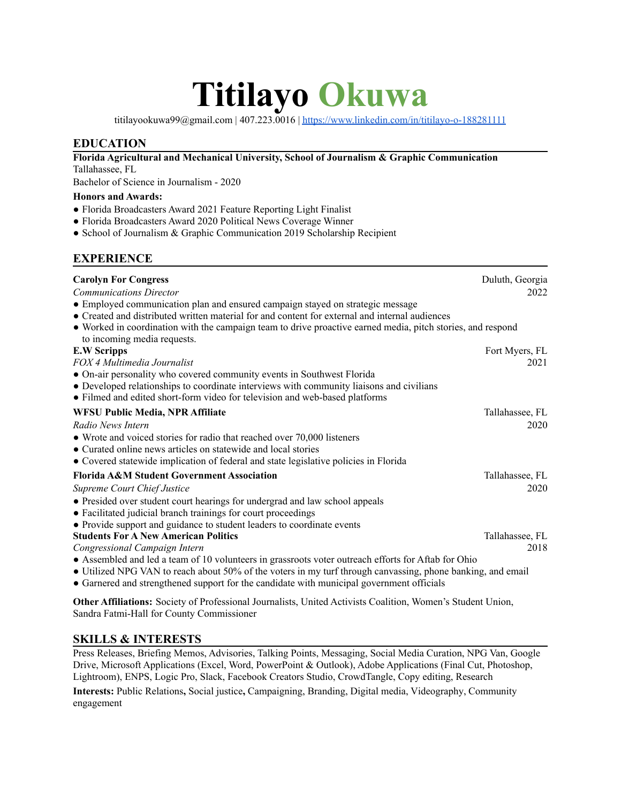# **Titilayo Okuwa**

titilayookuwa99@gmail.com | 407.223.0016 | <https://www.linkedin.com/in/titilayo-o-188281111>

### **EDUCATION**

**Florida Agricultural and Mechanical University, School of Journalism & Graphic Communication** Tallahassee, FL

Bachelor of Science in Journalism - 2020

#### **Honors and Awards:**

- Florida Broadcasters Award 2021 Feature Reporting Light Finalist
- Florida Broadcasters Award 2020 Political News Coverage Winner
- School of Journalism & Graphic Communication 2019 Scholarship Recipient

## **EXPERIENCE**

| <b>Carolyn For Congress</b><br><b>Communications Director</b><br>• Employed communication plan and ensured campaign stayed on strategic message<br>• Created and distributed written material for and content for external and internal audiences<br>• Worked in coordination with the campaign team to drive proactive earned media, pitch stories, and respond | Duluth, Georgia<br>2022 |
|------------------------------------------------------------------------------------------------------------------------------------------------------------------------------------------------------------------------------------------------------------------------------------------------------------------------------------------------------------------|-------------------------|
| to incoming media requests.                                                                                                                                                                                                                                                                                                                                      |                         |
| <b>E.W Scripps</b>                                                                                                                                                                                                                                                                                                                                               | Fort Myers, FL          |
| FOX 4 Multimedia Journalist                                                                                                                                                                                                                                                                                                                                      | 2021                    |
| • On-air personality who covered community events in Southwest Florida<br>• Developed relationships to coordinate interviews with community liaisons and civilians<br>• Filmed and edited short-form video for television and web-based platforms                                                                                                                |                         |
| WFSU Public Media, NPR Affiliate                                                                                                                                                                                                                                                                                                                                 | Tallahassee, FL         |
| Radio News Intern                                                                                                                                                                                                                                                                                                                                                | 2020                    |
| • Wrote and voiced stories for radio that reached over 70,000 listeners<br>• Curated online news articles on statewide and local stories<br>• Covered statewide implication of federal and state legislative policies in Florida                                                                                                                                 |                         |
| <b>Florida A&amp;M Student Government Association</b>                                                                                                                                                                                                                                                                                                            | Tallahassee, FL         |
| <b>Supreme Court Chief Justice</b>                                                                                                                                                                                                                                                                                                                               | 2020                    |
| • Presided over student court hearings for undergrad and law school appeals<br>• Facilitated judicial branch trainings for court proceedings<br>• Provide support and guidance to student leaders to coordinate events                                                                                                                                           |                         |
| <b>Students For A New American Politics</b>                                                                                                                                                                                                                                                                                                                      | Tallahassee, FL         |
| Congressional Campaign Intern                                                                                                                                                                                                                                                                                                                                    | 2018                    |
| • Assembled and led a team of 10 volunteers in grassroots voter outreach efforts for Aftab for Ohio<br>• Utilized NPG VAN to reach about 50% of the voters in my turf through canvassing, phone banking, and email<br>• Garnered and strengthened support for the candidate with municipal government officials                                                  |                         |

**Other Affiliations:** Society of Professional Journalists, United Activists Coalition, Women's Student Union, Sandra Fatmi-Hall for County Commissioner

#### **SKILLS & INTERESTS**

Press Releases, Briefing Memos, Advisories, Talking Points, Messaging, Social Media Curation, NPG Van, Google Drive, Microsoft Applications (Excel, Word, PowerPoint & Outlook), Adobe Applications (Final Cut, Photoshop, Lightroom), ENPS, Logic Pro, Slack, Facebook Creators Studio, CrowdTangle, Copy editing, Research

**Interests:** Public Relations**,** Social justice**,** Campaigning, Branding, Digital media, Videography, Community engagement